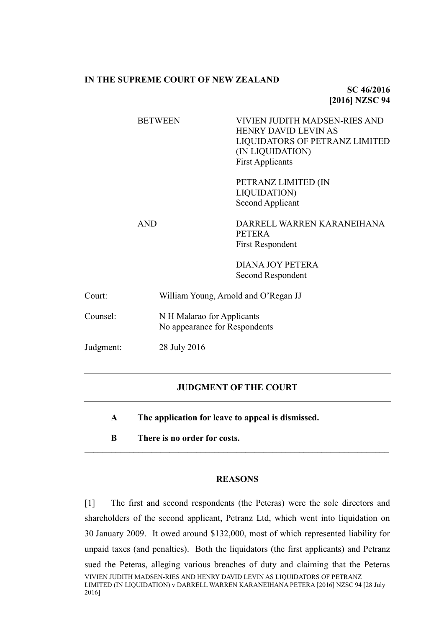## **IN THE SUPREME COURT OF NEW ZEALAND**

**SC 46/2016 [2016] NZSC 94**

|            | <b>BETWEEN</b> | <b>VIVIEN JUDITH MADSEN-RIES AND</b><br><b>HENRY DAVID LEVIN AS</b><br>LIQUIDATORS OF PETRANZ LIMITED<br>(IN LIQUIDATION)<br><b>First Applicants</b> |  |
|------------|----------------|------------------------------------------------------------------------------------------------------------------------------------------------------|--|
|            |                | PETRANZ LIMITED (IN<br><b>LIQUIDATION)</b><br>Second Applicant                                                                                       |  |
| <b>AND</b> |                | DARRELL WARREN KARANEIHANA<br><b>PETERA</b><br><b>First Respondent</b>                                                                               |  |
|            |                | <b>DIANA JOY PETERA</b><br>Second Respondent                                                                                                         |  |
| Court:     |                | William Young, Arnold and O'Regan JJ                                                                                                                 |  |
| Counsel:   |                | N H Malarao for Applicants<br>No appearance for Respondents                                                                                          |  |
| Judgment:  | 28 July 2016   |                                                                                                                                                      |  |

## **JUDGMENT OF THE COURT**

**A The application for leave to appeal is dismissed.**

**B There is no order for costs.**

## **REASONS**

 $\mathcal{L}_\text{max} = \mathcal{L}_\text{max} = \mathcal{L}_\text{max} = \mathcal{L}_\text{max} = \mathcal{L}_\text{max} = \mathcal{L}_\text{max} = \mathcal{L}_\text{max} = \mathcal{L}_\text{max} = \mathcal{L}_\text{max} = \mathcal{L}_\text{max} = \mathcal{L}_\text{max} = \mathcal{L}_\text{max} = \mathcal{L}_\text{max} = \mathcal{L}_\text{max} = \mathcal{L}_\text{max} = \mathcal{L}_\text{max} = \mathcal{L}_\text{max} = \mathcal{L}_\text{max} = \mathcal{$ 

VIVIEN JUDITH MADSEN-RIES AND HENRY DAVID LEVIN AS LIQUIDATORS OF PETRANZ LIMITED (IN LIQUIDATION) v DARRELL WARREN KARANEIHANA PETERA [2016] NZSC 94 [28 July 2016] [1] The first and second respondents (the Peteras) were the sole directors and shareholders of the second applicant, Petranz Ltd, which went into liquidation on 30 January 2009. It owed around \$132,000, most of which represented liability for unpaid taxes (and penalties). Both the liquidators (the first applicants) and Petranz sued the Peteras, alleging various breaches of duty and claiming that the Peteras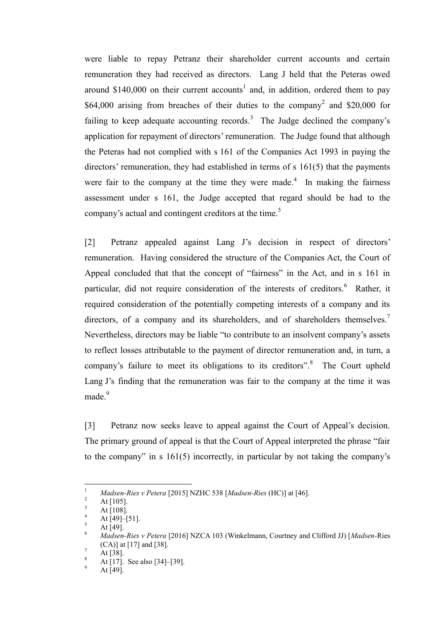<span id="page-1-0"></span>were liable to repay Petranz their shareholder current accounts and certain remuneration they had received as directors. Lang J held that the Peteras owed around \$140,000 on their current accounts<sup>1</sup> and, in addition, ordered them to pay \$64,000 arising from breaches of their duties to the company<sup>2</sup> and \$20,000 for failing to keep adequate accounting records.<sup>3</sup> The Judge declined the company's application for repayment of directors' remuneration. The Judge found that although the Peteras had not complied with s 161 of the Companies Act 1993 in paying the directors' remuneration, they had established in terms of s 161(5) that the payments were fair to the company at the time they were made.<sup>4</sup> In making the fairness assessment under s 161, the Judge accepted that regard should be had to the company's actual and contingent creditors at the time.<sup>5</sup>

<span id="page-1-1"></span>[2] Petranz appealed against Lang J's decision in respect of directors' remuneration. Having considered the structure of the Companies Act, the Court of Appeal concluded that that the concept of "fairness" in the Act, and in s 161 in particular, did not require consideration of the interests of creditors.<sup>6</sup> Rather, it required consideration of the potentially competing interests of a company and its directors, of a company and its shareholders, and of shareholders themselves.<sup>7</sup> Nevertheless, directors may be liable "to contribute to an insolvent company's assets to reflect losses attributable to the payment of director remuneration and, in turn, a company's failure to meet its obligations to its creditors".<sup>8</sup> The Court upheld Lang J's finding that the remuneration was fair to the company at the time it was made.<sup>9</sup>

[3] Petranz now seeks leave to appeal against the Court of Appeal's decision. The primary ground of appeal is that the Court of Appeal interpreted the phrase "fair to the company" in s 161(5) incorrectly, in particular by not taking the company's

 $\mathbf{1}$ <sup>1</sup> *Madsen-Ries v Petera* [2015] NZHC 538 [*Madsen-Ries* (HC)] at [46].

 $\frac{2}{3}$  At [105].

 $\frac{3}{4}$  At [108].

 $^{4}$  At [49]–[51].

 $\frac{5}{6}$  At [49].

<sup>6</sup> *Madsen-Ries v Petera* [2016] NZCA 103 (Winkelmann, Courtney and Clifford JJ) [*Madsen-*Ries (CA)] at [17] and [38].

 $^7$  At [38].

At [17]. See also [34]–[39].

At [49].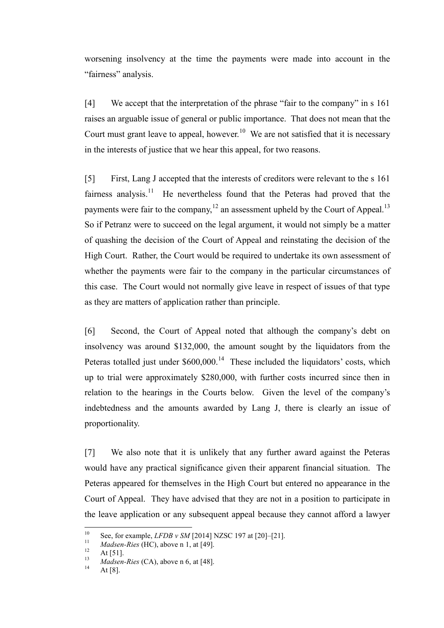worsening insolvency at the time the payments were made into account in the "fairness" analysis.

[4] We accept that the interpretation of the phrase "fair to the company" in s 161 raises an arguable issue of general or public importance. That does not mean that the Court must grant leave to appeal, however.<sup>10</sup> We are not satisfied that it is necessary in the interests of justice that we hear this appeal, for two reasons.

[5] First, Lang J accepted that the interests of creditors were relevant to the s 161 fairness analysis.<sup>11</sup> He nevertheless found that the Peteras had proved that the payments were fair to the company,  $12$  an assessment upheld by the Court of Appeal.<sup>13</sup> So if Petranz were to succeed on the legal argument, it would not simply be a matter of quashing the decision of the Court of Appeal and reinstating the decision of the High Court. Rather, the Court would be required to undertake its own assessment of whether the payments were fair to the company in the particular circumstances of this case. The Court would not normally give leave in respect of issues of that type as they are matters of application rather than principle.

[6] Second, the Court of Appeal noted that although the company's debt on insolvency was around \$132,000, the amount sought by the liquidators from the Peteras totalled just under  $$600,000$ .<sup>14</sup> These included the liquidators' costs, which up to trial were approximately \$280,000, with further costs incurred since then in relation to the hearings in the Courts below. Given the level of the company's indebtedness and the amounts awarded by Lang J, there is clearly an issue of proportionality.

[7] We also note that it is unlikely that any further award against the Peteras would have any practical significance given their apparent financial situation. The Peteras appeared for themselves in the High Court but entered no appearance in the Court of Appeal. They have advised that they are not in a position to participate in the leave application or any subsequent appeal because they cannot afford a lawyer

 $10<sup>10</sup>$ <sup>10</sup> See, for example, *LFDB v SM* [2014] NZSC 197 at [20]–[21].

<sup>&</sup>lt;sup>11</sup> *Madsen-Ries* (HC), above n [1,](#page-1-0) at [49].

 $12$  At [51].

<sup>&</sup>lt;sup>13</sup> *Madsen-Ries* (CA), above n [6,](#page-1-1) at [48].

At  $[8]$ .